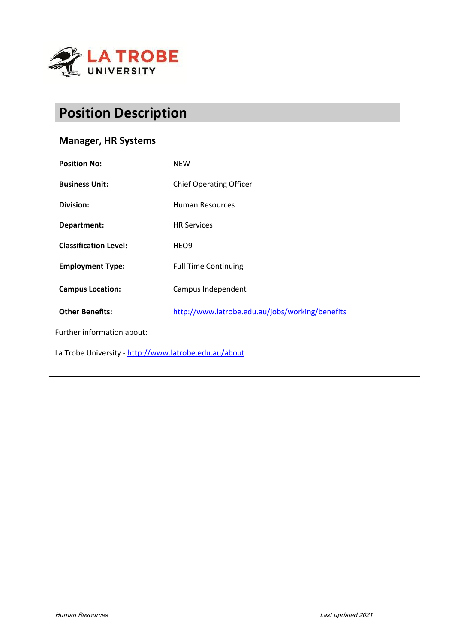

# **Position Description**

## **Manager, HR Systems**

| <b>Position No:</b>                                   | <b>NEW</b>                                      |
|-------------------------------------------------------|-------------------------------------------------|
| <b>Business Unit:</b>                                 | <b>Chief Operating Officer</b>                  |
| Division:                                             | <b>Human Resources</b>                          |
| Department:                                           | <b>HR Services</b>                              |
| <b>Classification Level:</b>                          | HEO <sub>9</sub>                                |
| <b>Employment Type:</b>                               | <b>Full Time Continuing</b>                     |
| <b>Campus Location:</b>                               | Campus Independent                              |
| <b>Other Benefits:</b>                                | http://www.latrobe.edu.au/jobs/working/benefits |
| Further information about:                            |                                                 |
| La Trobe University - http://www.latrobe.edu.au/about |                                                 |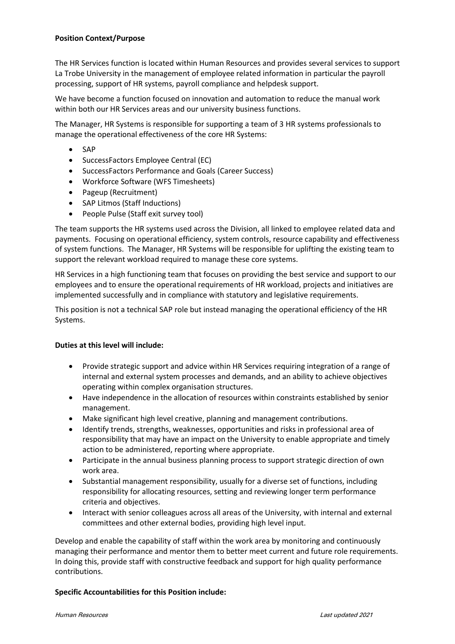The HR Services function is located within Human Resources and provides several services to support La Trobe University in the management of employee related information in particular the payroll processing, support of HR systems, payroll compliance and helpdesk support.

We have become a function focused on innovation and automation to reduce the manual work within both our HR Services areas and our university business functions.

The Manager, HR Systems is responsible for supporting a team of 3 HR systems professionals to manage the operational effectiveness of the core HR Systems:

- SAP
- SuccessFactors Employee Central (EC)
- SuccessFactors Performance and Goals (Career Success)
- Workforce Software (WFS Timesheets)
- Pageup (Recruitment)
- SAP Litmos (Staff Inductions)
- People Pulse (Staff exit survey tool)

The team supports the HR systems used across the Division, all linked to employee related data and payments. Focusing on operational efficiency, system controls, resource capability and effectiveness of system functions. The Manager, HR Systems will be responsible for uplifting the existing team to support the relevant workload required to manage these core systems.

HR Services in a high functioning team that focuses on providing the best service and support to our employees and to ensure the operational requirements of HR workload, projects and initiatives are implemented successfully and in compliance with statutory and legislative requirements.

This position is not a technical SAP role but instead managing the operational efficiency of the HR Systems.

#### **Duties at this level will include:**

- Provide strategic support and advice within HR Services requiring integration of a range of internal and external system processes and demands, and an ability to achieve objectives operating within complex organisation structures.
- Have independence in the allocation of resources within constraints established by senior management.
- Make significant high level creative, planning and management contributions.
- Identify trends, strengths, weaknesses, opportunities and risks in professional area of responsibility that may have an impact on the University to enable appropriate and timely action to be administered, reporting where appropriate.
- Participate in the annual business planning process to support strategic direction of own work area.
- Substantial management responsibility, usually for a diverse set of functions, including responsibility for allocating resources, setting and reviewing longer term performance criteria and objectives.
- Interact with senior colleagues across all areas of the University, with internal and external committees and other external bodies, providing high level input.

Develop and enable the capability of staff within the work area by monitoring and continuously managing their performance and mentor them to better meet current and future role requirements. In doing this, provide staff with constructive feedback and support for high quality performance contributions.

#### **Specific Accountabilities for this Position include:**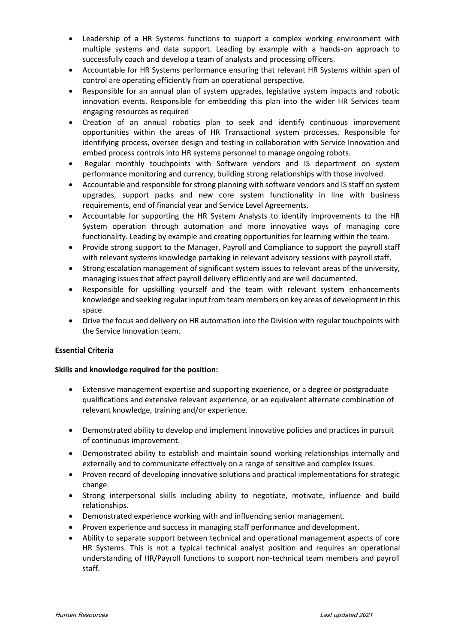- Leadership of a HR Systems functions to support a complex working environment with multiple systems and data support. Leading by example with a hands-on approach to successfully coach and develop a team of analysts and processing officers.
- Accountable for HR Systems performance ensuring that relevant HR Systems within span of control are operating efficiently from an operational perspective.
- Responsible for an annual plan of system upgrades, legislative system impacts and robotic innovation events. Responsible for embedding this plan into the wider HR Services team engaging resources as required
- Creation of an annual robotics plan to seek and identify continuous improvement opportunities within the areas of HR Transactional system processes. Responsible for identifying process, oversee design and testing in collaboration with Service Innovation and embed process controls into HR systems personnel to manage ongoing robots.
- Regular monthly touchpoints with Software vendors and IS department on system performance monitoring and currency, building strong relationships with those involved.
- Accountable and responsible for strong planning with software vendors and IS staff on system upgrades, support packs and new core system functionality in line with business requirements, end of financial year and Service Level Agreements.
- Accountable for supporting the HR System Analysts to identify improvements to the HR System operation through automation and more innovative ways of managing core functionality. Leading by example and creating opportunities for learning within the team.
- Provide strong support to the Manager, Payroll and Compliance to support the payroll staff with relevant systems knowledge partaking in relevant advisory sessions with payroll staff.
- Strong escalation management of significant system issues to relevant areas of the university, managing issues that affect payroll delivery efficiently and are well documented.
- Responsible for upskilling yourself and the team with relevant system enhancements knowledge and seeking regular input from team members on key areas of development in this space.
- Drive the focus and delivery on HR automation into the Division with regular touchpoints with the Service Innovation team.

#### **Essential Criteria**

#### **Skills and knowledge required for the position:**

- Extensive management expertise and supporting experience, or a degree or postgraduate qualifications and extensive relevant experience, or an equivalent alternate combination of relevant knowledge, training and/or experience.
- Demonstrated ability to develop and implement innovative policies and practices in pursuit of continuous improvement.
- Demonstrated ability to establish and maintain sound working relationships internally and externally and to communicate effectively on a range of sensitive and complex issues.
- Proven record of developing innovative solutions and practical implementations for strategic change.
- Strong interpersonal skills including ability to negotiate, motivate, influence and build relationships.
- Demonstrated experience working with and influencing senior management.
- Proven experience and success in managing staff performance and development.
- Ability to separate support between technical and operational management aspects of core HR Systems. This is not a typical technical analyst position and requires an operational understanding of HR/Payroll functions to support non-technical team members and payroll staff.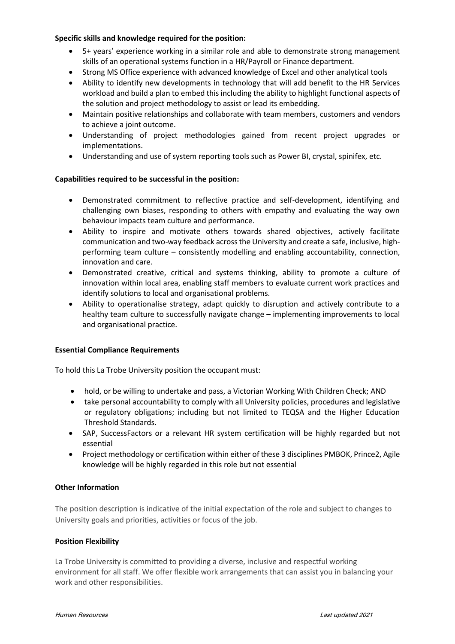### **Specific skills and knowledge required for the position:**

- 5+ years' experience working in a similar role and able to demonstrate strong management skills of an operational systems function in a HR/Payroll or Finance department.
- Strong MS Office experience with advanced knowledge of Excel and other analytical tools
- Ability to identify new developments in technology that will add benefit to the HR Services workload and build a plan to embed this including the ability to highlight functional aspects of the solution and project methodology to assist or lead its embedding.
- Maintain positive relationships and collaborate with team members, customers and vendors to achieve a joint outcome.
- Understanding of project methodologies gained from recent project upgrades or implementations.
- Understanding and use of system reporting tools such as Power BI, crystal, spinifex, etc.

#### **Capabilities required to be successful in the position:**

- Demonstrated commitment to reflective practice and self-development, identifying and challenging own biases, responding to others with empathy and evaluating the way own behaviour impacts team culture and performance.
- Ability to inspire and motivate others towards shared objectives, actively facilitate communication and two-way feedback across the University and create a safe, inclusive, highperforming team culture – consistently modelling and enabling accountability, connection, innovation and care.
- Demonstrated creative, critical and systems thinking, ability to promote a culture of innovation within local area, enabling staff members to evaluate current work practices and identify solutions to local and organisational problems.
- Ability to operationalise strategy, adapt quickly to disruption and actively contribute to a healthy team culture to successfully navigate change – implementing improvements to local and organisational practice.

#### **Essential Compliance Requirements**

To hold this La Trobe University position the occupant must:

- hold, or be willing to undertake and pass, a Victorian Working With Children Check; AND
- take personal accountability to comply with all University policies, procedures and legislative or regulatory obligations; including but not limited to TEQSA and the Higher Education Threshold Standards.
- SAP, SuccessFactors or a relevant HR system certification will be highly regarded but not essential
- Project methodology or certification within either of these 3 disciplines PMBOK, Prince2, Agile knowledge will be highly regarded in this role but not essential

#### **Other Information**

The position description is indicative of the initial expectation of the role and subject to changes to University goals and priorities, activities or focus of the job.

#### **Position Flexibility**

La Trobe University is committed to providing a diverse, inclusive and respectful working environment for all staff. We offer flexible work arrangements that can assist you in balancing your work and other responsibilities.